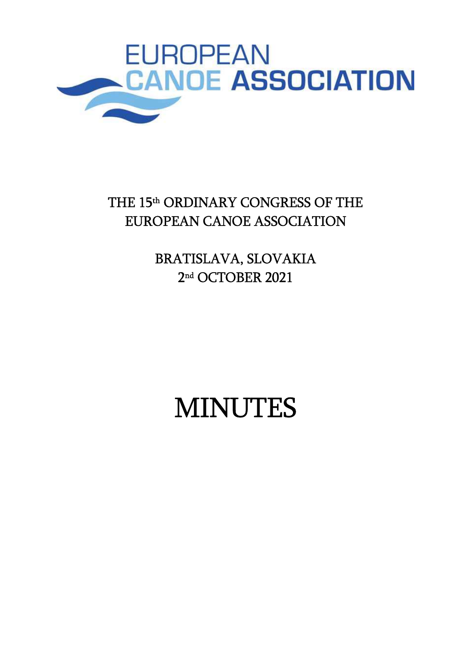

# THE 15<sup>th</sup> ORDINARY CONGRESS OF THE EUROPEAN CANOE ASSOCIATION

BRATISLAVA, SLOVAKIA 2 nd OCTOBER 2021

# MINUTES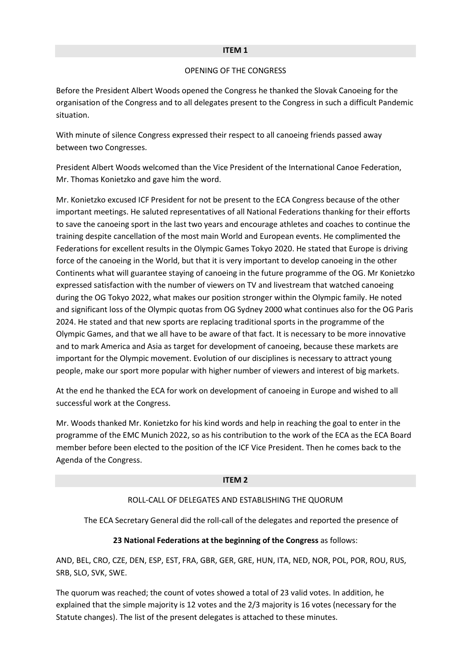#### ITEM 1

#### OPENING OF THE CONGRESS

Before the President Albert Woods opened the Congress he thanked the Slovak Canoeing for the organisation of the Congress and to all delegates present to the Congress in such a difficult Pandemic situation.

With minute of silence Congress expressed their respect to all canoeing friends passed away between two Congresses.

President Albert Woods welcomed than the Vice President of the International Canoe Federation, Mr. Thomas Konietzko and gave him the word.

Mr. Konietzko excused ICF President for not be present to the ECA Congress because of the other important meetings. He saluted representatives of all National Federations thanking for their efforts to save the canoeing sport in the last two years and encourage athletes and coaches to continue the training despite cancellation of the most main World and European events. He complimented the Federations for excellent results in the Olympic Games Tokyo 2020. He stated that Europe is driving force of the canoeing in the World, but that it is very important to develop canoeing in the other Continents what will guarantee staying of canoeing in the future programme of the OG. Mr Konietzko expressed satisfaction with the number of viewers on TV and livestream that watched canoeing during the OG Tokyo 2022, what makes our position stronger within the Olympic family. He noted and significant loss of the Olympic quotas from OG Sydney 2000 what continues also for the OG Paris 2024. He stated and that new sports are replacing traditional sports in the programme of the Olympic Games, and that we all have to be aware of that fact. It is necessary to be more innovative and to mark America and Asia as target for development of canoeing, because these markets are important for the Olympic movement. Evolution of our disciplines is necessary to attract young people, make our sport more popular with higher number of viewers and interest of big markets.

At the end he thanked the ECA for work on development of canoeing in Europe and wished to all successful work at the Congress.

Mr. Woods thanked Mr. Konietzko for his kind words and help in reaching the goal to enter in the programme of the EMC Munich 2022, so as his contribution to the work of the ECA as the ECA Board member before been elected to the position of the ICF Vice President. Then he comes back to the Agenda of the Congress.

#### ITEM 2

# ROLL-CALL OF DELEGATES AND ESTABLISHING THE QUORUM

The ECA Secretary General did the roll-call of the delegates and reported the presence of

#### 23 National Federations at the beginning of the Congress as follows:

AND, BEL, CRO, CZE, DEN, ESP, EST, FRA, GBR, GER, GRE, HUN, ITA, NED, NOR, POL, POR, ROU, RUS, SRB, SLO, SVK, SWE.

The quorum was reached; the count of votes showed a total of 23 valid votes. In addition, he explained that the simple majority is 12 votes and the 2/3 majority is 16 votes (necessary for the Statute changes). The list of the present delegates is attached to these minutes.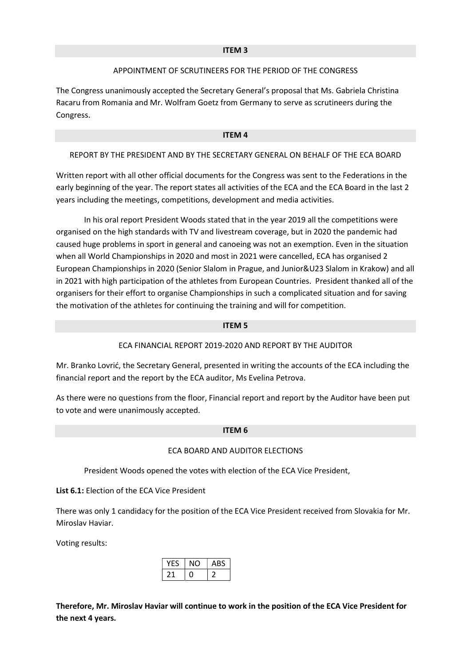#### ITEM 3

# APPOINTMENT OF SCRUTINEERS FOR THE PERIOD OF THE CONGRESS

The Congress unanimously accepted the Secretary General's proposal that Ms. Gabriela Christina Racaru from Romania and Mr. Wolfram Goetz from Germany to serve as scrutineers during the Congress.

#### ITEM 4

## REPORT BY THE PRESIDENT AND BY THE SECRETARY GENERAL ON BEHALF OF THE ECA BOARD

Written report with all other official documents for the Congress was sent to the Federations in the early beginning of the year. The report states all activities of the ECA and the ECA Board in the last 2 years including the meetings, competitions, development and media activities.

 In his oral report President Woods stated that in the year 2019 all the competitions were organised on the high standards with TV and livestream coverage, but in 2020 the pandemic had caused huge problems in sport in general and canoeing was not an exemption. Even in the situation when all World Championships in 2020 and most in 2021 were cancelled, ECA has organised 2 European Championships in 2020 (Senior Slalom in Prague, and Junior&U23 Slalom in Krakow) and all in 2021 with high participation of the athletes from European Countries. President thanked all of the organisers for their effort to organise Championships in such a complicated situation and for saving the motivation of the athletes for continuing the training and will for competition.

#### ITEM 5

# ECA FINANCIAL REPORT 2019-2020 AND REPORT BY THE AUDITOR

Mr. Branko Lovrić, the Secretary General, presented in writing the accounts of the ECA including the financial report and the report by the ECA auditor, Ms Evelina Petrova.

As there were no questions from the floor, Financial report and report by the Auditor have been put to vote and were unanimously accepted.

#### ITEM 6

#### ECA BOARD AND AUDITOR ELECTIONS

President Woods opened the votes with election of the ECA Vice President,

List 6.1: Election of the ECA Vice President

There was only 1 candidacy for the position of the ECA Vice President received from Slovakia for Mr. Miroslav Haviar.

Voting results:

|  | ABS |
|--|-----|
|  |     |

Therefore, Mr. Miroslav Haviar will continue to work in the position of the ECA Vice President for the next 4 years.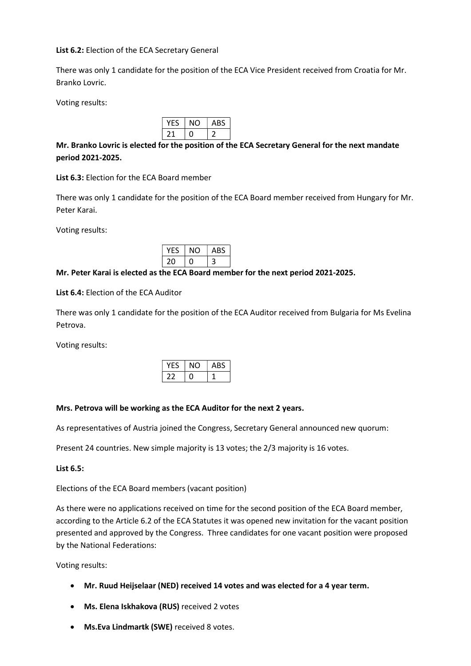#### List 6.2: Election of the ECA Secretary General

There was only 1 candidate for the position of the ECA Vice President received from Croatia for Mr. Branko Lovric.

Voting results:

| 0 | ABS |
|---|-----|
|   |     |

# Mr. Branko Lovric is elected for the position of the ECA Secretary General for the next mandate period 2021-2025.

List 6.3: Election for the ECA Board member

There was only 1 candidate for the position of the ECA Board member received from Hungary for Mr. Peter Karai.

Voting results:

| . . | ABS |
|-----|-----|
|     | ٠,  |

## Mr. Peter Karai is elected as the ECA Board member for the next period 2021-2025.

List 6.4: Election of the ECA Auditor

There was only 1 candidate for the position of the ECA Auditor received from Bulgaria for Ms Evelina Petrova.

Voting results:

|  | ABS |
|--|-----|
|  |     |

#### Mrs. Petrova will be working as the ECA Auditor for the next 2 years.

As representatives of Austria joined the Congress, Secretary General announced new quorum:

Present 24 countries. New simple majority is 13 votes; the 2/3 majority is 16 votes.

#### List 6.5:

Elections of the ECA Board members (vacant position)

As there were no applications received on time for the second position of the ECA Board member, according to the Article 6.2 of the ECA Statutes it was opened new invitation for the vacant position presented and approved by the Congress. Three candidates for one vacant position were proposed by the National Federations:

Voting results:

- Mr. Ruud Heijselaar (NED) received 14 votes and was elected for a 4 year term.
- Ms. Elena Iskhakova (RUS) received 2 votes
- Ms.Eva Lindmartk (SWE) received 8 votes.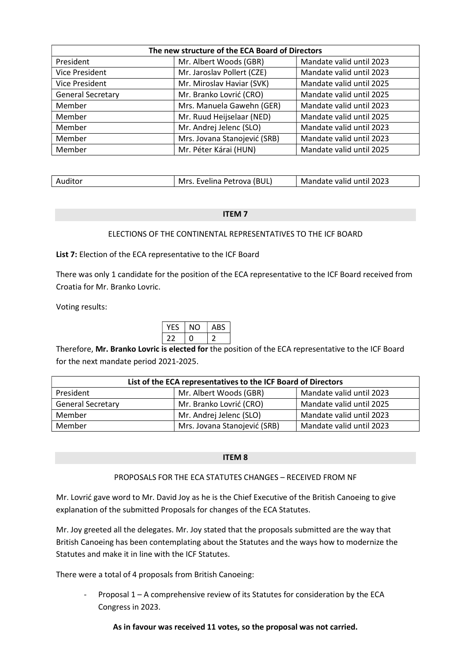| The new structure of the ECA Board of Directors |                              |                          |
|-------------------------------------------------|------------------------------|--------------------------|
| President                                       | Mr. Albert Woods (GBR)       | Mandate valid until 2023 |
| <b>Vice President</b>                           | Mr. Jaroslav Pollert (CZE)   | Mandate valid until 2023 |
| <b>Vice President</b>                           | Mr. Miroslav Haviar (SVK)    | Mandate valid until 2025 |
| <b>General Secretary</b>                        | Mr. Branko Lovrić (CRO)      | Mandate valid until 2025 |
| Member                                          | Mrs. Manuela Gawehn (GER)    | Mandate valid until 2023 |
| Member                                          | Mr. Ruud Heijselaar (NED)    | Mandate valid until 2025 |
| Member                                          | Mr. Andrej Jelenc (SLO)      | Mandate valid until 2023 |
| Member                                          | Mrs. Jovana Stanojević (SRB) | Mandate valid until 2023 |
| Member                                          | Mr. Péter Kárai (HUN)        | Mandate valid until 2025 |

| Auditor | Mrs. Evelina Petrova (BUL) | Mandate valid until 2023 |
|---------|----------------------------|--------------------------|

#### ITEM 7

# ELECTIONS OF THE CONTINENTAL REPRESENTATIVES TO THE ICF BOARD

## List 7: Election of the ECA representative to the ICF Board

There was only 1 candidate for the position of the ECA representative to the ICF Board received from Croatia for Mr. Branko Lovric.

Voting results:

|  | 35<br>'N |
|--|----------|
|  |          |

Therefore, Mr. Branko Lovric is elected for the position of the ECA representative to the ICF Board for the next mandate period 2021-2025.

| List of the ECA representatives to the ICF Board of Directors |                              |                          |
|---------------------------------------------------------------|------------------------------|--------------------------|
| President                                                     | Mr. Albert Woods (GBR)       | Mandate valid until 2023 |
| <b>General Secretary</b>                                      | Mr. Branko Lovrić (CRO)      | Mandate valid until 2025 |
| Member                                                        | Mr. Andrej Jelenc (SLO)      | Mandate valid until 2023 |
| Member                                                        | Mrs. Jovana Stanojević (SRB) | Mandate valid until 2023 |

#### ITEM 8

#### PROPOSALS FOR THE ECA STATUTES CHANGES – RECEIVED FROM NF

Mr. Lovrić gave word to Mr. David Joy as he is the Chief Executive of the British Canoeing to give explanation of the submitted Proposals for changes of the ECA Statutes.

Mr. Joy greeted all the delegates. Mr. Joy stated that the proposals submitted are the way that British Canoeing has been contemplating about the Statutes and the ways how to modernize the Statutes and make it in line with the ICF Statutes.

There were a total of 4 proposals from British Canoeing:

Proposal  $1 - A$  comprehensive review of its Statutes for consideration by the ECA Congress in 2023.

## As in favour was received 11 votes, so the proposal was not carried.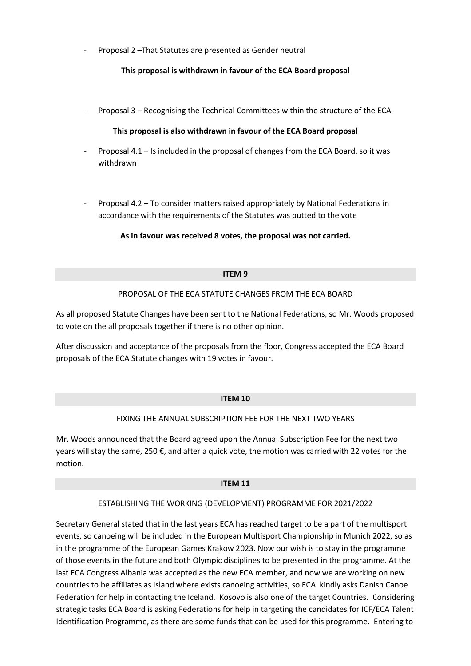- Proposal 2 –That Statutes are presented as Gender neutral

# This proposal is withdrawn in favour of the ECA Board proposal

- Proposal 3 – Recognising the Technical Committees within the structure of the ECA

## This proposal is also withdrawn in favour of the ECA Board proposal

- Proposal 4.1 Is included in the proposal of changes from the ECA Board, so it was withdrawn
- Proposal 4.2 To consider matters raised appropriately by National Federations in accordance with the requirements of the Statutes was putted to the vote

As in favour was received 8 votes, the proposal was not carried.

#### ITEM 9

## PROPOSAL OF THE ECA STATUTE CHANGES FROM THE ECA BOARD

As all proposed Statute Changes have been sent to the National Federations, so Mr. Woods proposed to vote on the all proposals together if there is no other opinion.

After discussion and acceptance of the proposals from the floor, Congress accepted the ECA Board proposals of the ECA Statute changes with 19 votes in favour.

#### ITEM 10

# FIXING THE ANNUAL SUBSCRIPTION FEE FOR THE NEXT TWO YEARS

Mr. Woods announced that the Board agreed upon the Annual Subscription Fee for the next two years will stay the same, 250  $\epsilon$ , and after a quick vote, the motion was carried with 22 votes for the motion.

#### ITEM 11

# ESTABLISHING THE WORKING (DEVELOPMENT) PROGRAMME FOR 2021/2022

Secretary General stated that in the last years ECA has reached target to be a part of the multisport events, so canoeing will be included in the European Multisport Championship in Munich 2022, so as in the programme of the European Games Krakow 2023. Now our wish is to stay in the programme of those events in the future and both Olympic disciplines to be presented in the programme. At the last ECA Congress Albania was accepted as the new ECA member, and now we are working on new countries to be affiliates as Island where exists canoeing activities, so ECA kindly asks Danish Canoe Federation for help in contacting the Iceland. Kosovo is also one of the target Countries. Considering strategic tasks ECA Board is asking Federations for help in targeting the candidates for ICF/ECA Talent Identification Programme, as there are some funds that can be used for this programme. Entering to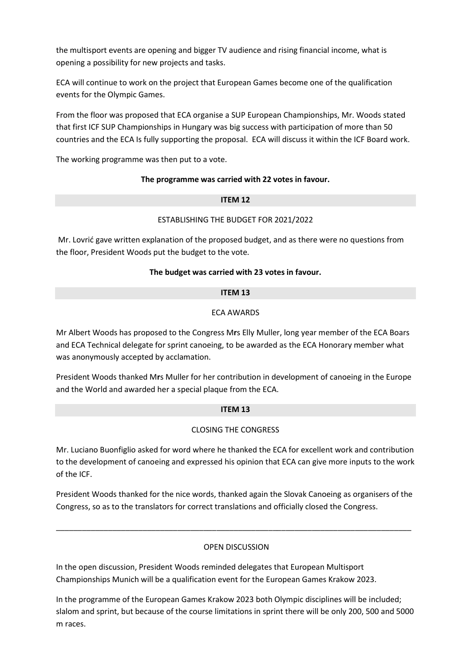the multisport events are opening and bigger TV audience and rising financial income, what is opening a possibility for new projects and tasks.

ECA will continue to work on the project that European Games become one of the qualification events for the Olympic Games.

From the floor was proposed that ECA organise a SUP European Championships, Mr. Woods stated that first ICF SUP Championships in Hungary was big success with participation of more than 50 countries and the ECA Is fully supporting the proposal. ECA will discuss it within the ICF Board work.

The working programme was then put to a vote.

## The programme was carried with 22 votes in favour.

## ITEM 12

## ESTABLISHING THE BUDGET FOR 2021/2022

 Mr. Lovrić gave written explanation of the proposed budget, and as there were no questions from the floor, President Woods put the budget to the vote.

# The budget was carried with 23 votes in favour.

## ITEM 13

# ECA AWARDS

Mr Albert Woods has proposed to the Congress Mrs Elly Muller, long year member of the ECA Boars and ECA Technical delegate for sprint canoeing, to be awarded as the ECA Honorary member what was anonymously accepted by acclamation.

President Woods thanked Mrs Muller for her contribution in development of canoeing in the Europe and the World and awarded her a special plaque from the ECA.

#### ITEM 13

# CLOSING THE CONGRESS

Mr. Luciano Buonfiglio asked for word where he thanked the ECA for excellent work and contribution to the development of canoeing and expressed his opinion that ECA can give more inputs to the work of the ICF.

President Woods thanked for the nice words, thanked again the Slovak Canoeing as organisers of the Congress, so as to the translators for correct translations and officially closed the Congress.

\_\_\_\_\_\_\_\_\_\_\_\_\_\_\_\_\_\_\_\_\_\_\_\_\_\_\_\_\_\_\_\_\_\_\_\_\_\_\_\_\_\_\_\_\_\_\_\_\_\_\_\_\_\_\_\_\_\_\_\_\_\_\_\_\_\_\_\_\_\_\_\_\_\_\_\_\_\_\_\_\_\_

# OPEN DISCUSSION

In the open discussion, President Woods reminded delegates that European Multisport Championships Munich will be a qualification event for the European Games Krakow 2023.

In the programme of the European Games Krakow 2023 both Olympic disciplines will be included; slalom and sprint, but because of the course limitations in sprint there will be only 200, 500 and 5000 m races.